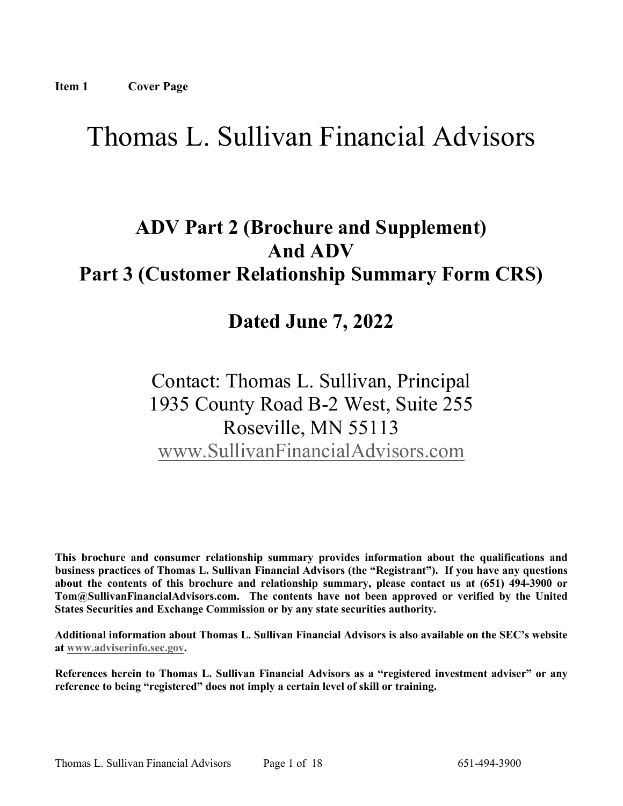# Thomas L. Sullivan Financial Advisors

## **ADV Part 2 (Brochure and Supplement) And ADV Part 3 (Customer Relationship Summary Form CRS)**

## **Dated June 7, 2022**

## Contact: Thomas L. Sullivan, Principal 1935 County Road B-2 West, Suite 255 Roseville, MN 55113 [www.SullivanFinancialAdvisors.com](http://www.sullivanfinancialadvisors.com/)

**This brochure and consumer relationship summary provides information about the qualifications and business practices of Thomas L. Sullivan Financial Advisors (the "Registrant"). If you have any questions about the contents of this brochure and relationship summary, please contact us at (651) 494-3900 or Tom@SullivanFinancialAdvisors.com. The contents have not been approved or verified by the United States Securities and Exchange Commission or by any state securities authority.**

**Additional information about Thomas L. Sullivan Financial Advisors is also available on the SEC's website at [www.adviserinfo.sec.gov.](http://www.adviserinfo.sec.gov/)** 

**References herein to Thomas L. Sullivan Financial Advisors as a "registered investment adviser" or any reference to being "registered" does not imply a certain level of skill or training.**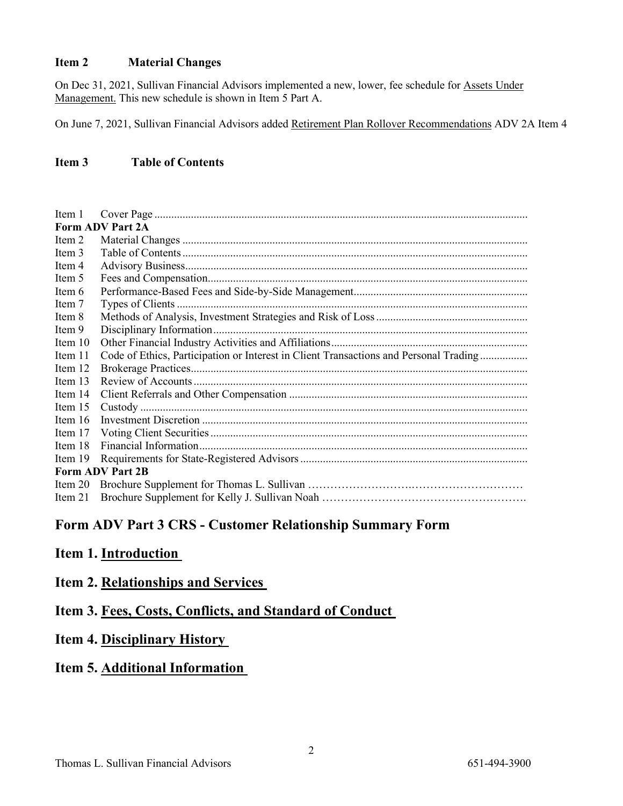### **Item 2 Material Changes**

On Dec 31, 2021, Sullivan Financial Advisors implemented a new, lower, fee schedule for Assets Under Management. This new schedule is shown in Item 5 Part A.

On June 7, 2021, Sullivan Financial Advisors added Retirement Plan Rollover Recommendations ADV 2A Item 4

### **Item 3 Table of Contents**

| Item 1                  |                                                                                       |  |  |
|-------------------------|---------------------------------------------------------------------------------------|--|--|
| Form ADV Part 2A        |                                                                                       |  |  |
| Item 2                  |                                                                                       |  |  |
| Item 3                  |                                                                                       |  |  |
| Item 4                  |                                                                                       |  |  |
| Item 5                  |                                                                                       |  |  |
| Item 6                  |                                                                                       |  |  |
| Item 7                  |                                                                                       |  |  |
| Item 8                  |                                                                                       |  |  |
| Item 9                  |                                                                                       |  |  |
| Item $10$               |                                                                                       |  |  |
| Item 11                 | Code of Ethics, Participation or Interest in Client Transactions and Personal Trading |  |  |
| Item 12                 |                                                                                       |  |  |
| Item 13                 |                                                                                       |  |  |
| Item 14                 |                                                                                       |  |  |
| Item 15                 |                                                                                       |  |  |
| Item 16                 |                                                                                       |  |  |
| Item 17                 |                                                                                       |  |  |
| Item 18                 |                                                                                       |  |  |
| Item 19                 |                                                                                       |  |  |
| <b>Form ADV Part 2B</b> |                                                                                       |  |  |
| Item 20                 |                                                                                       |  |  |
| Item 21                 |                                                                                       |  |  |

## **Form ADV Part 3 CRS - Customer Relationship Summary Form**

### **Item 1. Introduction**

### **Item 2. Relationships and Services**

### **Item 3. Fees, Costs, Conflicts, and Standard of Conduct**

## **Item 4. Disciplinary History**

### **Item 5. Additional Information**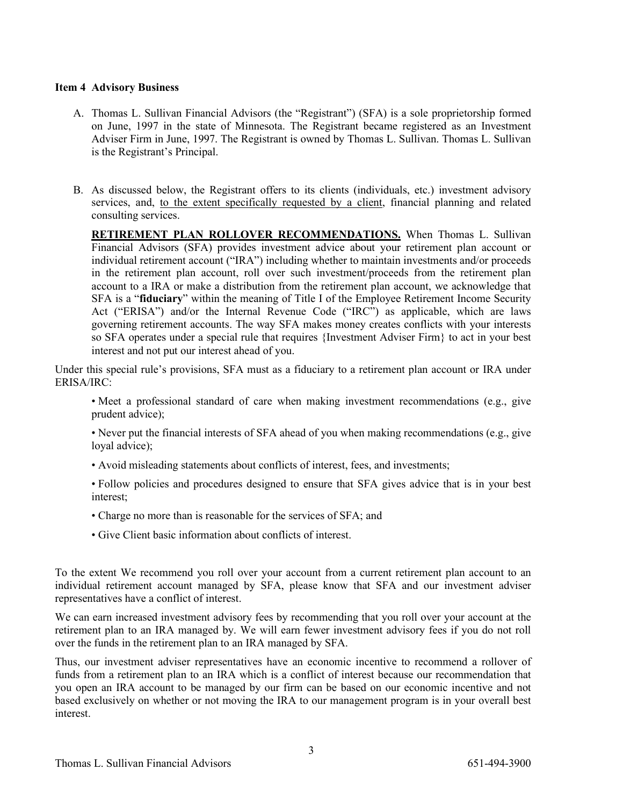#### **Item 4 Advisory Business**

- A. Thomas L. Sullivan Financial Advisors (the "Registrant") (SFA) is a sole proprietorship formed on June, 1997 in the state of Minnesota. The Registrant became registered as an Investment Adviser Firm in June, 1997. The Registrant is owned by Thomas L. Sullivan. Thomas L. Sullivan is the Registrant's Principal.
- B. As discussed below, the Registrant offers to its clients (individuals, etc.) investment advisory services, and, to the extent specifically requested by a client, financial planning and related consulting services.

**RETIREMENT PLAN ROLLOVER RECOMMENDATIONS.** When Thomas L. Sullivan Financial Advisors (SFA) provides investment advice about your retirement plan account or individual retirement account ("IRA") including whether to maintain investments and/or proceeds in the retirement plan account, roll over such investment/proceeds from the retirement plan account to a IRA or make a distribution from the retirement plan account, we acknowledge that SFA is a "**fiduciary**" within the meaning of Title I of the Employee Retirement Income Security Act ("ERISA") and/or the Internal Revenue Code ("IRC") as applicable, which are laws governing retirement accounts. The way SFA makes money creates conflicts with your interests so SFA operates under a special rule that requires {Investment Adviser Firm} to act in your best interest and not put our interest ahead of you.

Under this special rule's provisions, SFA must as a fiduciary to a retirement plan account or IRA under ERISA/IRC:

• Meet a professional standard of care when making investment recommendations (e.g., give prudent advice);

• Never put the financial interests of SFA ahead of you when making recommendations (e.g., give loyal advice);

- Avoid misleading statements about conflicts of interest, fees, and investments;
- Follow policies and procedures designed to ensure that SFA gives advice that is in your best interest;
- Charge no more than is reasonable for the services of SFA; and
- Give Client basic information about conflicts of interest.

To the extent We recommend you roll over your account from a current retirement plan account to an individual retirement account managed by SFA, please know that SFA and our investment adviser representatives have a conflict of interest.

We can earn increased investment advisory fees by recommending that you roll over your account at the retirement plan to an IRA managed by. We will earn fewer investment advisory fees if you do not roll over the funds in the retirement plan to an IRA managed by SFA.

Thus, our investment adviser representatives have an economic incentive to recommend a rollover of funds from a retirement plan to an IRA which is a conflict of interest because our recommendation that you open an IRA account to be managed by our firm can be based on our economic incentive and not based exclusively on whether or not moving the IRA to our management program is in your overall best interest.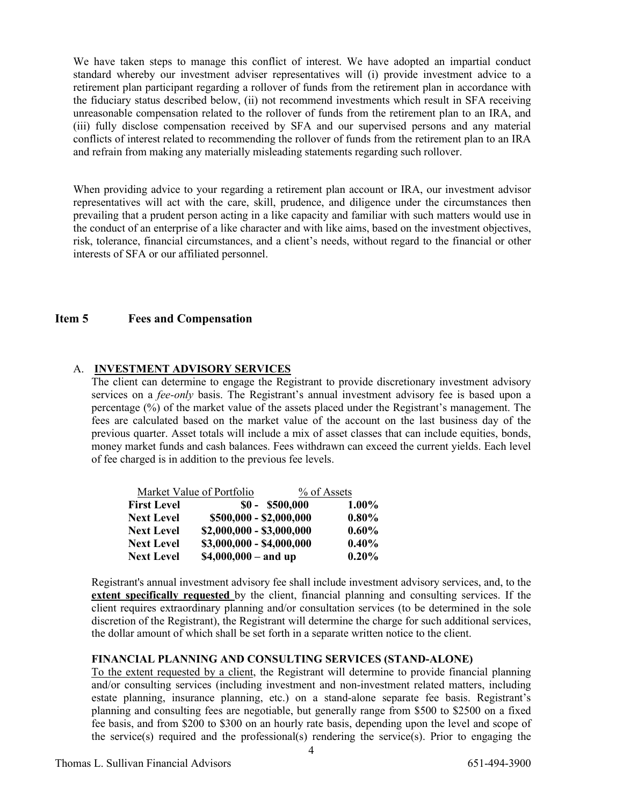We have taken steps to manage this conflict of interest. We have adopted an impartial conduct standard whereby our investment adviser representatives will (i) provide investment advice to a retirement plan participant regarding a rollover of funds from the retirement plan in accordance with the fiduciary status described below, (ii) not recommend investments which result in SFA receiving unreasonable compensation related to the rollover of funds from the retirement plan to an IRA, and (iii) fully disclose compensation received by SFA and our supervised persons and any material conflicts of interest related to recommending the rollover of funds from the retirement plan to an IRA and refrain from making any materially misleading statements regarding such rollover.

When providing advice to your regarding a retirement plan account or IRA, our investment advisor representatives will act with the care, skill, prudence, and diligence under the circumstances then prevailing that a prudent person acting in a like capacity and familiar with such matters would use in the conduct of an enterprise of a like character and with like aims, based on the investment objectives, risk, tolerance, financial circumstances, and a client's needs, without regard to the financial or other interests of SFA or our affiliated personnel.

### **Item 5 Fees and Compensation**

### A. **INVESTMENT ADVISORY SERVICES**

The client can determine to engage the Registrant to provide discretionary investment advisory services on a *fee-only* basis. The Registrant's annual investment advisory fee is based upon a percentage (%) of the market value of the assets placed under the Registrant's management. The fees are calculated based on the market value of the account on the last business day of the previous quarter. Asset totals will include a mix of asset classes that can include equities, bonds, money market funds and cash balances. Fees withdrawn can exceed the current yields. Each level of fee charged is in addition to the previous fee levels.

|                    | Market Value of Portfolio | % of Assets |  |
|--------------------|---------------------------|-------------|--|
| <b>First Level</b> | $$0 - $500,000$           | $1.00\%$    |  |
| <b>Next Level</b>  | \$500,000 - \$2,000,000   | $0.80\%$    |  |
| <b>Next Level</b>  | $$2,000,000 - $3,000,000$ | $0.60\%$    |  |
| <b>Next Level</b>  | $$3,000,000 - $4,000,000$ | $0.40\%$    |  |
| <b>Next Level</b>  | $$4,000,000 - and up$     | $0.20\%$    |  |

Registrant's annual investment advisory fee shall include investment advisory services, and, to the **extent specifically requested** by the client, financial planning and consulting services. If the client requires extraordinary planning and/or consultation services (to be determined in the sole discretion of the Registrant), the Registrant will determine the charge for such additional services, the dollar amount of which shall be set forth in a separate written notice to the client.

#### **FINANCIAL PLANNING AND CONSULTING SERVICES (STAND-ALONE)**

To the extent requested by a client, the Registrant will determine to provide financial planning and/or consulting services (including investment and non-investment related matters, including estate planning, insurance planning, etc.) on a stand-alone separate fee basis. Registrant's planning and consulting fees are negotiable, but generally range from \$500 to \$2500 on a fixed fee basis, and from \$200 to \$300 on an hourly rate basis, depending upon the level and scope of the service(s) required and the professional(s) rendering the service(s). Prior to engaging the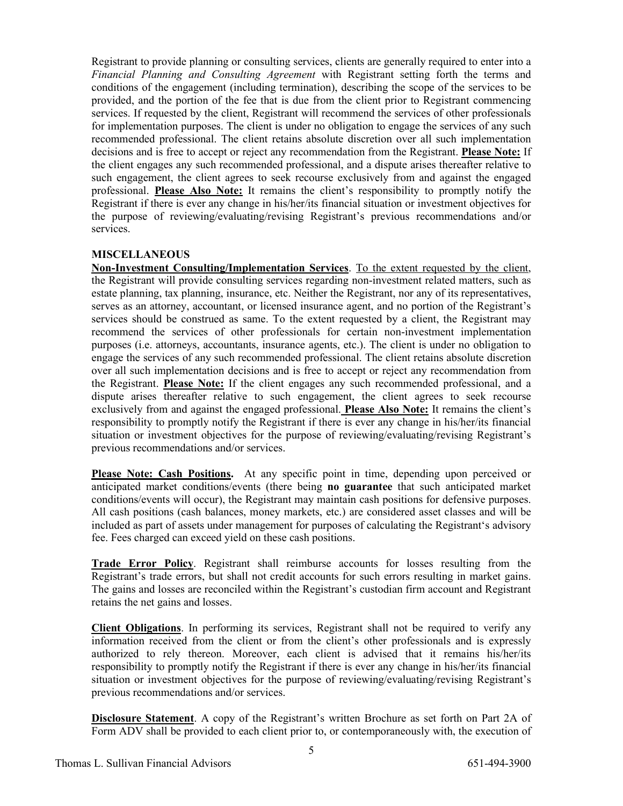Registrant to provide planning or consulting services, clients are generally required to enter into a *Financial Planning and Consulting Agreement* with Registrant setting forth the terms and conditions of the engagement (including termination), describing the scope of the services to be provided, and the portion of the fee that is due from the client prior to Registrant commencing services. If requested by the client, Registrant will recommend the services of other professionals for implementation purposes. The client is under no obligation to engage the services of any such recommended professional. The client retains absolute discretion over all such implementation decisions and is free to accept or reject any recommendation from the Registrant. **Please Note:** If the client engages any such recommended professional, and a dispute arises thereafter relative to such engagement, the client agrees to seek recourse exclusively from and against the engaged professional. **Please Also Note:** It remains the client's responsibility to promptly notify the Registrant if there is ever any change in his/her/its financial situation or investment objectives for the purpose of reviewing/evaluating/revising Registrant's previous recommendations and/or services.

### **MISCELLANEOUS**

**Non-Investment Consulting/Implementation Services**. To the extent requested by the client, the Registrant will provide consulting services regarding non-investment related matters, such as estate planning, tax planning, insurance, etc. Neither the Registrant, nor any of its representatives, serves as an attorney, accountant, or licensed insurance agent, and no portion of the Registrant's services should be construed as same. To the extent requested by a client, the Registrant may recommend the services of other professionals for certain non-investment implementation purposes (i.e. attorneys, accountants, insurance agents, etc.). The client is under no obligation to engage the services of any such recommended professional. The client retains absolute discretion over all such implementation decisions and is free to accept or reject any recommendation from the Registrant. **Please Note:** If the client engages any such recommended professional, and a dispute arises thereafter relative to such engagement, the client agrees to seek recourse exclusively from and against the engaged professional. **Please Also Note:** It remains the client's responsibility to promptly notify the Registrant if there is ever any change in his/her/its financial situation or investment objectives for the purpose of reviewing/evaluating/revising Registrant's previous recommendations and/or services.

**Please Note: Cash Positions.** At any specific point in time, depending upon perceived or anticipated market conditions/events (there being **no guarantee** that such anticipated market conditions/events will occur), the Registrant may maintain cash positions for defensive purposes. All cash positions (cash balances, money markets, etc.) are considered asset classes and will be included as part of assets under management for purposes of calculating the Registrant's advisory fee. Fees charged can exceed yield on these cash positions.

**Trade Error Policy**. Registrant shall reimburse accounts for losses resulting from the Registrant's trade errors, but shall not credit accounts for such errors resulting in market gains. The gains and losses are reconciled within the Registrant's custodian firm account and Registrant retains the net gains and losses.

**Client Obligations**. In performing its services, Registrant shall not be required to verify any information received from the client or from the client's other professionals and is expressly authorized to rely thereon. Moreover, each client is advised that it remains his/her/its responsibility to promptly notify the Registrant if there is ever any change in his/her/its financial situation or investment objectives for the purpose of reviewing/evaluating/revising Registrant's previous recommendations and/or services.

**Disclosure Statement**. A copy of the Registrant's written Brochure as set forth on Part 2A of Form ADV shall be provided to each client prior to, or contemporaneously with, the execution of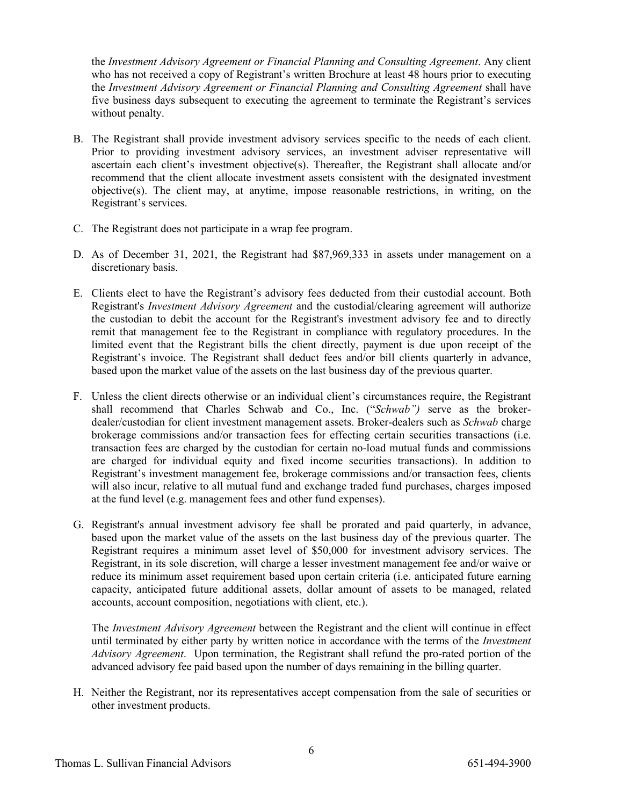the *Investment Advisory Agreement or Financial Planning and Consulting Agreement*. Any client who has not received a copy of Registrant's written Brochure at least 48 hours prior to executing the *Investment Advisory Agreement or Financial Planning and Consulting Agreement* shall have five business days subsequent to executing the agreement to terminate the Registrant's services without penalty.

- B. The Registrant shall provide investment advisory services specific to the needs of each client. Prior to providing investment advisory services, an investment adviser representative will ascertain each client's investment objective(s). Thereafter, the Registrant shall allocate and/or recommend that the client allocate investment assets consistent with the designated investment objective(s). The client may, at anytime, impose reasonable restrictions, in writing, on the Registrant's services.
- C. The Registrant does not participate in a wrap fee program.
- D. As of December 31, 2021, the Registrant had \$87,969,333 in assets under management on a discretionary basis.
- E. Clients elect to have the Registrant's advisory fees deducted from their custodial account. Both Registrant's *Investment Advisory Agreement* and the custodial/clearing agreement will authorize the custodian to debit the account for the Registrant's investment advisory fee and to directly remit that management fee to the Registrant in compliance with regulatory procedures. In the limited event that the Registrant bills the client directly, payment is due upon receipt of the Registrant's invoice. The Registrant shall deduct fees and/or bill clients quarterly in advance, based upon the market value of the assets on the last business day of the previous quarter.
- F. Unless the client directs otherwise or an individual client's circumstances require, the Registrant shall recommend that Charles Schwab and Co., Inc. ("*Schwab")* serve as the brokerdealer/custodian for client investment management assets. Broker-dealers such as *Schwab* charge brokerage commissions and/or transaction fees for effecting certain securities transactions (i.e. transaction fees are charged by the custodian for certain no-load mutual funds and commissions are charged for individual equity and fixed income securities transactions). In addition to Registrant's investment management fee, brokerage commissions and/or transaction fees, clients will also incur, relative to all mutual fund and exchange traded fund purchases, charges imposed at the fund level (e.g. management fees and other fund expenses).
- G. Registrant's annual investment advisory fee shall be prorated and paid quarterly, in advance, based upon the market value of the assets on the last business day of the previous quarter. The Registrant requires a minimum asset level of \$50,000 for investment advisory services. The Registrant, in its sole discretion, will charge a lesser investment management fee and/or waive or reduce its minimum asset requirement based upon certain criteria (i.e. anticipated future earning capacity, anticipated future additional assets, dollar amount of assets to be managed, related accounts, account composition, negotiations with client, etc.).

The *Investment Advisory Agreement* between the Registrant and the client will continue in effect until terminated by either party by written notice in accordance with the terms of the *Investment Advisory Agreement*. Upon termination, the Registrant shall refund the pro-rated portion of the advanced advisory fee paid based upon the number of days remaining in the billing quarter.

H. Neither the Registrant, nor its representatives accept compensation from the sale of securities or other investment products.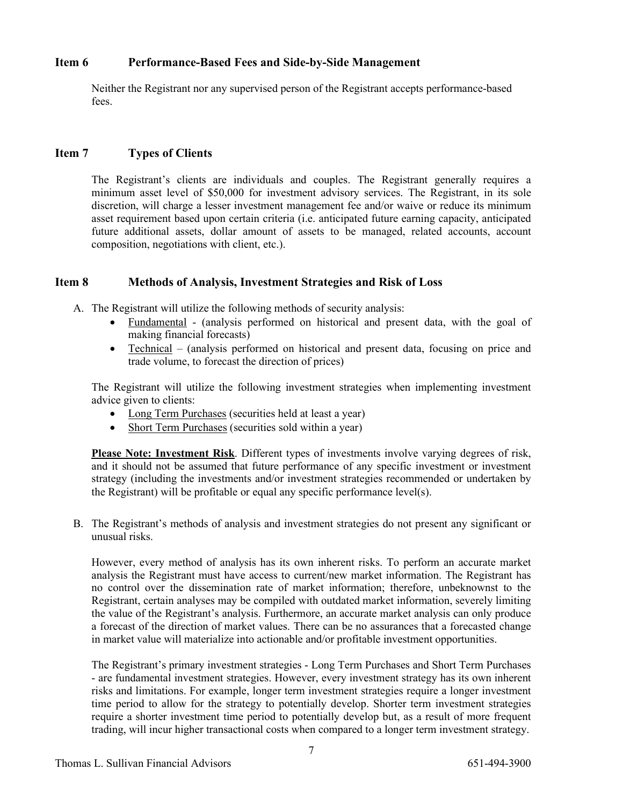### **Item 6 Performance-Based Fees and Side-by-Side Management**

Neither the Registrant nor any supervised person of the Registrant accepts performance-based fees.

### **Item 7 Types of Clients**

The Registrant's clients are individuals and couples. The Registrant generally requires a minimum asset level of \$50,000 for investment advisory services. The Registrant, in its sole discretion, will charge a lesser investment management fee and/or waive or reduce its minimum asset requirement based upon certain criteria (i.e. anticipated future earning capacity, anticipated future additional assets, dollar amount of assets to be managed, related accounts, account composition, negotiations with client, etc.).

### **Item 8 Methods of Analysis, Investment Strategies and Risk of Loss**

- A. The Registrant will utilize the following methods of security analysis:
	- Fundamental (analysis performed on historical and present data, with the goal of making financial forecasts)
	- Technical (analysis performed on historical and present data, focusing on price and trade volume, to forecast the direction of prices)

The Registrant will utilize the following investment strategies when implementing investment advice given to clients:

- Long Term Purchases (securities held at least a year)
- Short Term Purchases (securities sold within a year)

**Please Note: Investment Risk**. Different types of investments involve varying degrees of risk, and it should not be assumed that future performance of any specific investment or investment strategy (including the investments and/or investment strategies recommended or undertaken by the Registrant) will be profitable or equal any specific performance level(s).

B. The Registrant's methods of analysis and investment strategies do not present any significant or unusual risks.

However, every method of analysis has its own inherent risks. To perform an accurate market analysis the Registrant must have access to current/new market information. The Registrant has no control over the dissemination rate of market information; therefore, unbeknownst to the Registrant, certain analyses may be compiled with outdated market information, severely limiting the value of the Registrant's analysis. Furthermore, an accurate market analysis can only produce a forecast of the direction of market values. There can be no assurances that a forecasted change in market value will materialize into actionable and/or profitable investment opportunities.

The Registrant's primary investment strategies - Long Term Purchases and Short Term Purchases - are fundamental investment strategies. However, every investment strategy has its own inherent risks and limitations. For example, longer term investment strategies require a longer investment time period to allow for the strategy to potentially develop. Shorter term investment strategies require a shorter investment time period to potentially develop but, as a result of more frequent trading, will incur higher transactional costs when compared to a longer term investment strategy.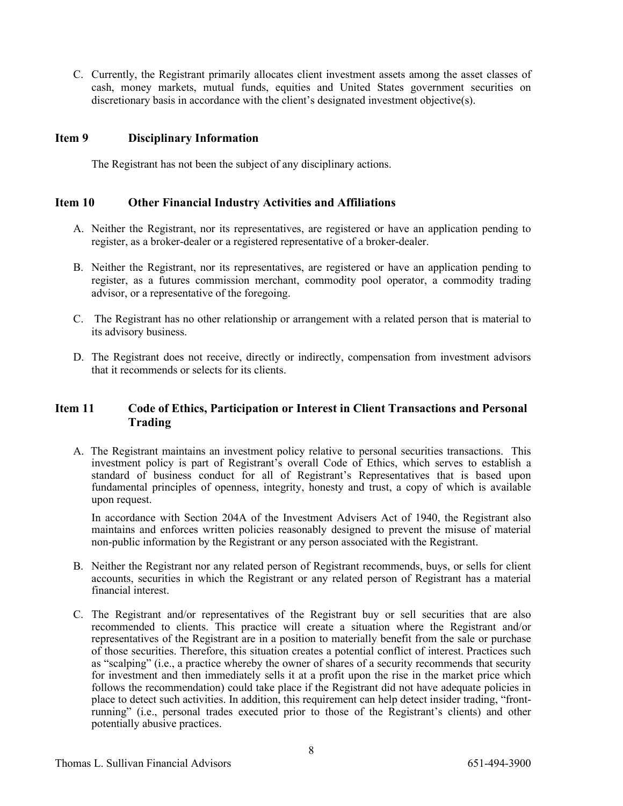C. Currently, the Registrant primarily allocates client investment assets among the asset classes of cash, money markets, mutual funds, equities and United States government securities on discretionary basis in accordance with the client's designated investment objective(s).

### **Item 9 Disciplinary Information**

The Registrant has not been the subject of any disciplinary actions.

### **Item 10 Other Financial Industry Activities and Affiliations**

- A. Neither the Registrant, nor its representatives, are registered or have an application pending to register, as a broker-dealer or a registered representative of a broker-dealer.
- B. Neither the Registrant, nor its representatives, are registered or have an application pending to register, as a futures commission merchant, commodity pool operator, a commodity trading advisor, or a representative of the foregoing.
- C. The Registrant has no other relationship or arrangement with a related person that is material to its advisory business.
- D. The Registrant does not receive, directly or indirectly, compensation from investment advisors that it recommends or selects for its clients.

### **Item 11 Code of Ethics, Participation or Interest in Client Transactions and Personal Trading**

A. The Registrant maintains an investment policy relative to personal securities transactions. This investment policy is part of Registrant's overall Code of Ethics, which serves to establish a standard of business conduct for all of Registrant's Representatives that is based upon fundamental principles of openness, integrity, honesty and trust, a copy of which is available upon request.

In accordance with Section 204A of the Investment Advisers Act of 1940, the Registrant also maintains and enforces written policies reasonably designed to prevent the misuse of material non-public information by the Registrant or any person associated with the Registrant.

- B. Neither the Registrant nor any related person of Registrant recommends, buys, or sells for client accounts, securities in which the Registrant or any related person of Registrant has a material financial interest.
- C. The Registrant and/or representatives of the Registrant buy or sell securities that are also recommended to clients. This practice will create a situation where the Registrant and/or representatives of the Registrant are in a position to materially benefit from the sale or purchase of those securities. Therefore, this situation creates a potential conflict of interest. Practices such as "scalping" (i.e., a practice whereby the owner of shares of a security recommends that security for investment and then immediately sells it at a profit upon the rise in the market price which follows the recommendation) could take place if the Registrant did not have adequate policies in place to detect such activities. In addition, this requirement can help detect insider trading, "frontrunning" (i.e., personal trades executed prior to those of the Registrant's clients) and other potentially abusive practices.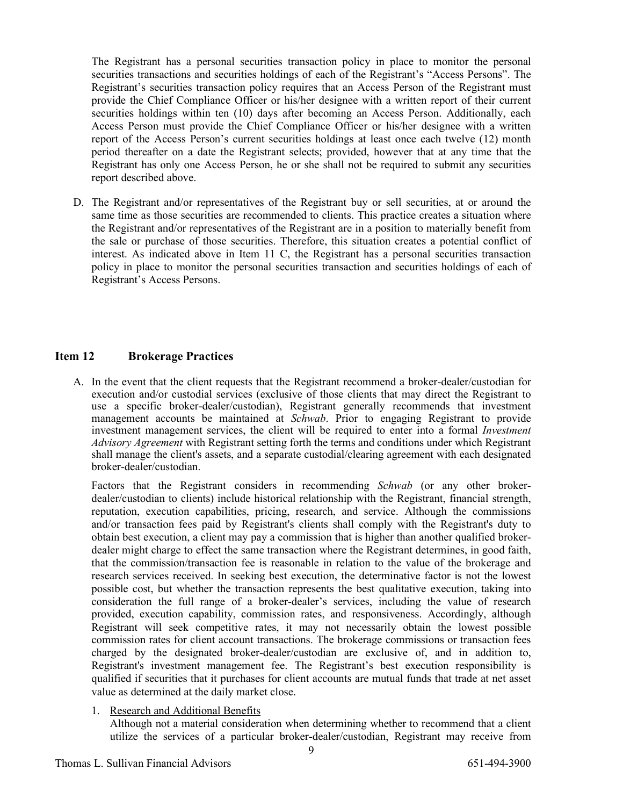The Registrant has a personal securities transaction policy in place to monitor the personal securities transactions and securities holdings of each of the Registrant's "Access Persons". The Registrant's securities transaction policy requires that an Access Person of the Registrant must provide the Chief Compliance Officer or his/her designee with a written report of their current securities holdings within ten (10) days after becoming an Access Person. Additionally, each Access Person must provide the Chief Compliance Officer or his/her designee with a written report of the Access Person's current securities holdings at least once each twelve (12) month period thereafter on a date the Registrant selects; provided, however that at any time that the Registrant has only one Access Person, he or she shall not be required to submit any securities report described above.

D. The Registrant and/or representatives of the Registrant buy or sell securities, at or around the same time as those securities are recommended to clients. This practice creates a situation where the Registrant and/or representatives of the Registrant are in a position to materially benefit from the sale or purchase of those securities. Therefore, this situation creates a potential conflict of interest. As indicated above in Item 11 C, the Registrant has a personal securities transaction policy in place to monitor the personal securities transaction and securities holdings of each of Registrant's Access Persons.

### **Item 12 Brokerage Practices**

A. In the event that the client requests that the Registrant recommend a broker-dealer/custodian for execution and/or custodial services (exclusive of those clients that may direct the Registrant to use a specific broker-dealer/custodian), Registrant generally recommends that investment management accounts be maintained at *Schwab*. Prior to engaging Registrant to provide investment management services, the client will be required to enter into a formal *Investment Advisory Agreement* with Registrant setting forth the terms and conditions under which Registrant shall manage the client's assets, and a separate custodial/clearing agreement with each designated broker-dealer/custodian.

Factors that the Registrant considers in recommending *Schwab* (or any other brokerdealer/custodian to clients) include historical relationship with the Registrant, financial strength, reputation, execution capabilities, pricing, research, and service. Although the commissions and/or transaction fees paid by Registrant's clients shall comply with the Registrant's duty to obtain best execution, a client may pay a commission that is higher than another qualified brokerdealer might charge to effect the same transaction where the Registrant determines, in good faith, that the commission/transaction fee is reasonable in relation to the value of the brokerage and research services received. In seeking best execution, the determinative factor is not the lowest possible cost, but whether the transaction represents the best qualitative execution, taking into consideration the full range of a broker-dealer's services, including the value of research provided, execution capability, commission rates, and responsiveness. Accordingly, although Registrant will seek competitive rates, it may not necessarily obtain the lowest possible commission rates for client account transactions. The brokerage commissions or transaction fees charged by the designated broker-dealer/custodian are exclusive of, and in addition to, Registrant's investment management fee. The Registrant's best execution responsibility is qualified if securities that it purchases for client accounts are mutual funds that trade at net asset value as determined at the daily market close.

1. Research and Additional Benefits

Although not a material consideration when determining whether to recommend that a client utilize the services of a particular broker-dealer/custodian, Registrant may receive from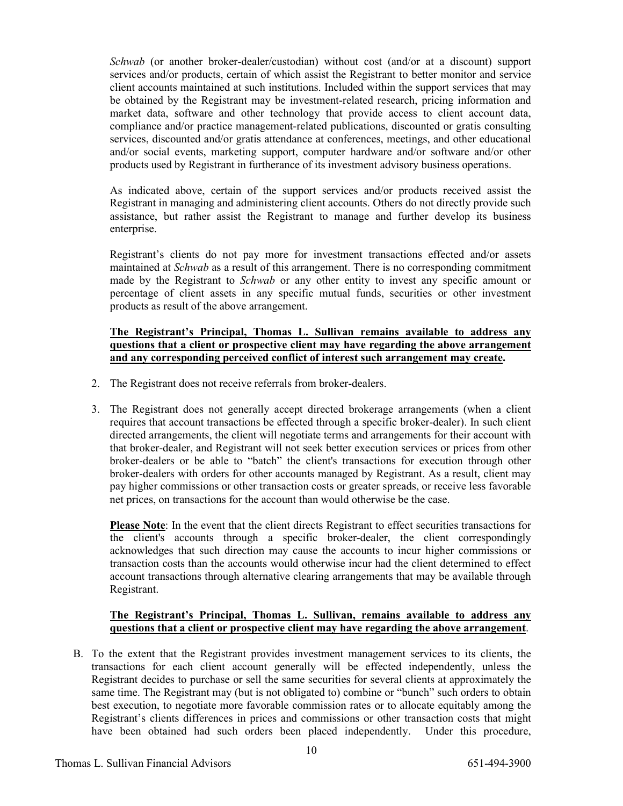*Schwab* (or another broker-dealer/custodian) without cost (and/or at a discount) support services and/or products, certain of which assist the Registrant to better monitor and service client accounts maintained at such institutions. Included within the support services that may be obtained by the Registrant may be investment-related research, pricing information and market data, software and other technology that provide access to client account data, compliance and/or practice management-related publications, discounted or gratis consulting services, discounted and/or gratis attendance at conferences, meetings, and other educational and/or social events, marketing support, computer hardware and/or software and/or other products used by Registrant in furtherance of its investment advisory business operations.

As indicated above, certain of the support services and/or products received assist the Registrant in managing and administering client accounts. Others do not directly provide such assistance, but rather assist the Registrant to manage and further develop its business enterprise.

Registrant's clients do not pay more for investment transactions effected and/or assets maintained at *Schwab* as a result of this arrangement. There is no corresponding commitment made by the Registrant to *Schwab* or any other entity to invest any specific amount or percentage of client assets in any specific mutual funds, securities or other investment products as result of the above arrangement.

#### **The Registrant's Principal, Thomas L. Sullivan remains available to address any questions that a client or prospective client may have regarding the above arrangement and any corresponding perceived conflict of interest such arrangement may create.**

- 2. The Registrant does not receive referrals from broker-dealers.
- 3. The Registrant does not generally accept directed brokerage arrangements (when a client requires that account transactions be effected through a specific broker-dealer). In such client directed arrangements, the client will negotiate terms and arrangements for their account with that broker-dealer, and Registrant will not seek better execution services or prices from other broker-dealers or be able to "batch" the client's transactions for execution through other broker-dealers with orders for other accounts managed by Registrant. As a result, client may pay higher commissions or other transaction costs or greater spreads, or receive less favorable net prices, on transactions for the account than would otherwise be the case.

**Please Note**: In the event that the client directs Registrant to effect securities transactions for the client's accounts through a specific broker-dealer, the client correspondingly acknowledges that such direction may cause the accounts to incur higher commissions or transaction costs than the accounts would otherwise incur had the client determined to effect account transactions through alternative clearing arrangements that may be available through Registrant.

### **The Registrant's Principal, Thomas L. Sullivan, remains available to address any questions that a client or prospective client may have regarding the above arrangement**.

B. To the extent that the Registrant provides investment management services to its clients, the transactions for each client account generally will be effected independently, unless the Registrant decides to purchase or sell the same securities for several clients at approximately the same time. The Registrant may (but is not obligated to) combine or "bunch" such orders to obtain best execution, to negotiate more favorable commission rates or to allocate equitably among the Registrant's clients differences in prices and commissions or other transaction costs that might have been obtained had such orders been placed independently. Under this procedure,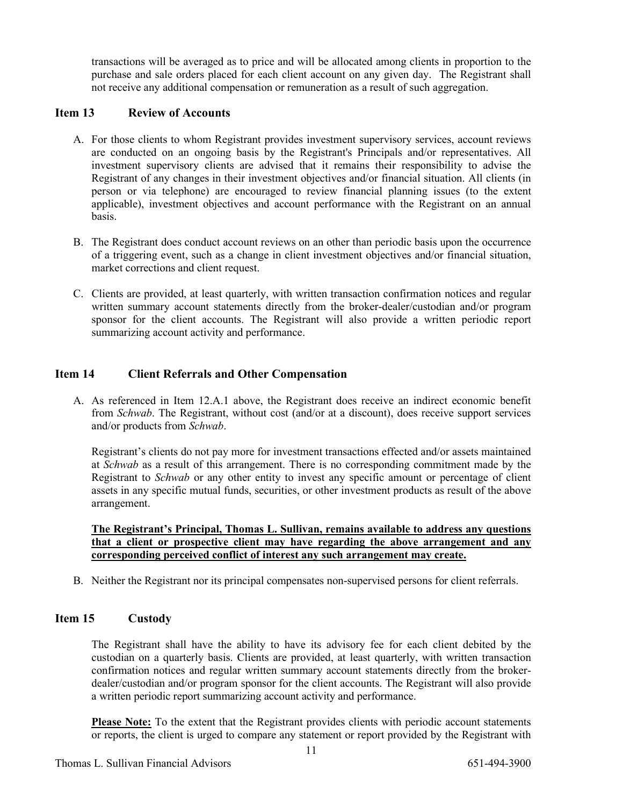transactions will be averaged as to price and will be allocated among clients in proportion to the purchase and sale orders placed for each client account on any given day. The Registrant shall not receive any additional compensation or remuneration as a result of such aggregation.

### **Item 13 Review of Accounts**

- A. For those clients to whom Registrant provides investment supervisory services, account reviews are conducted on an ongoing basis by the Registrant's Principals and/or representatives. All investment supervisory clients are advised that it remains their responsibility to advise the Registrant of any changes in their investment objectives and/or financial situation. All clients (in person or via telephone) are encouraged to review financial planning issues (to the extent applicable), investment objectives and account performance with the Registrant on an annual basis.
- B. The Registrant does conduct account reviews on an other than periodic basis upon the occurrence of a triggering event, such as a change in client investment objectives and/or financial situation, market corrections and client request.
- C. Clients are provided, at least quarterly, with written transaction confirmation notices and regular written summary account statements directly from the broker-dealer/custodian and/or program sponsor for the client accounts. The Registrant will also provide a written periodic report summarizing account activity and performance.

### **Item 14 Client Referrals and Other Compensation**

A. As referenced in Item 12.A.1 above, the Registrant does receive an indirect economic benefit from *Schwab*. The Registrant, without cost (and/or at a discount), does receive support services and/or products from *Schwab*.

Registrant's clients do not pay more for investment transactions effected and/or assets maintained at *Schwab* as a result of this arrangement. There is no corresponding commitment made by the Registrant to *Schwab* or any other entity to invest any specific amount or percentage of client assets in any specific mutual funds, securities, or other investment products as result of the above arrangement.

**The Registrant's Principal, Thomas L. Sullivan, remains available to address any questions that a client or prospective client may have regarding the above arrangement and any corresponding perceived conflict of interest any such arrangement may create.**

B. Neither the Registrant nor its principal compensates non-supervised persons for client referrals.

### **Item 15 Custody**

The Registrant shall have the ability to have its advisory fee for each client debited by the custodian on a quarterly basis. Clients are provided, at least quarterly, with written transaction confirmation notices and regular written summary account statements directly from the brokerdealer/custodian and/or program sponsor for the client accounts. The Registrant will also provide a written periodic report summarizing account activity and performance.

**Please Note:** To the extent that the Registrant provides clients with periodic account statements or reports, the client is urged to compare any statement or report provided by the Registrant with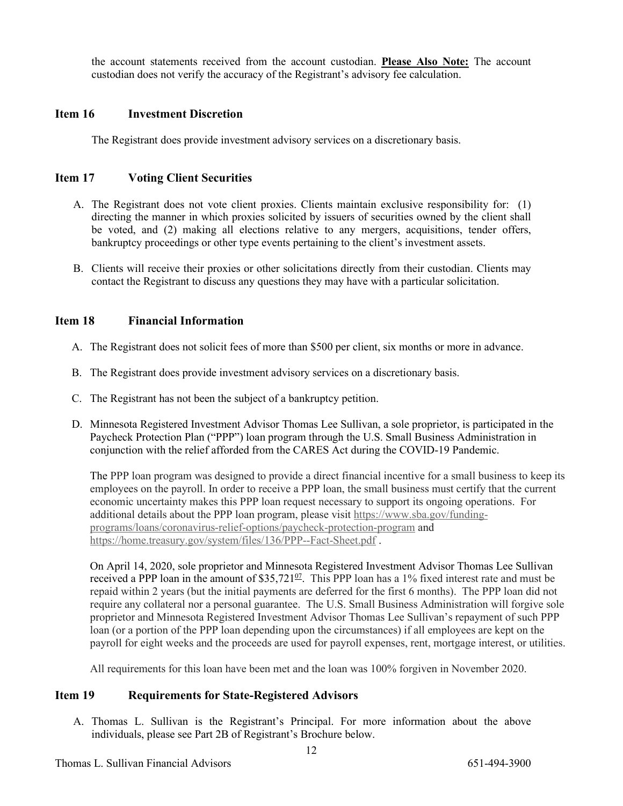the account statements received from the account custodian. **Please Also Note:** The account custodian does not verify the accuracy of the Registrant's advisory fee calculation.

### **Item 16 Investment Discretion**

The Registrant does provide investment advisory services on a discretionary basis.

### **Item 17 Voting Client Securities**

- A. The Registrant does not vote client proxies. Clients maintain exclusive responsibility for: (1) directing the manner in which proxies solicited by issuers of securities owned by the client shall be voted, and (2) making all elections relative to any mergers, acquisitions, tender offers, bankruptcy proceedings or other type events pertaining to the client's investment assets.
- B. Clients will receive their proxies or other solicitations directly from their custodian. Clients may contact the Registrant to discuss any questions they may have with a particular solicitation.

### **Item 18 Financial Information**

- A. The Registrant does not solicit fees of more than \$500 per client, six months or more in advance.
- B. The Registrant does provide investment advisory services on a discretionary basis.
- C. The Registrant has not been the subject of a bankruptcy petition.
- D. Minnesota Registered Investment Advisor Thomas Lee Sullivan, a sole proprietor, is participated in the Paycheck Protection Plan ("PPP") loan program through the U.S. Small Business Administration in conjunction with the relief afforded from the CARES Act during the COVID-19 Pandemic.

The PPP loan program was designed to provide a direct financial incentive for a small business to keep its employees on the payroll. In order to receive a PPP loan, the small business must certify that the current economic uncertainty makes this PPP loan request necessary to support its ongoing operations. For additional details about the PPP loan program, please visit [https://www.sba.gov/funding](https://www.sba.gov/funding-programs/loans/coronavirus-relief-options/paycheck-protection-program)[programs/loans/coronavirus-relief-options/paycheck-protection-program](https://www.sba.gov/funding-programs/loans/coronavirus-relief-options/paycheck-protection-program) and <https://home.treasury.gov/system/files/136/PPP--Fact-Sheet.pdf>.

On April 14, 2020, sole proprietor and Minnesota Registered Investment Advisor Thomas Lee Sullivan received a PPP loan in the amount of  $$35,721^{\circ}$ . This PPP loan has a 1% fixed interest rate and must be repaid within 2 years (but the initial payments are deferred for the first 6 months). The PPP loan did not require any collateral nor a personal guarantee. The U.S. Small Business Administration will forgive sole proprietor and Minnesota Registered Investment Advisor Thomas Lee Sullivan's repayment of such PPP loan (or a portion of the PPP loan depending upon the circumstances) if all employees are kept on the payroll for eight weeks and the proceeds are used for payroll expenses, rent, mortgage interest, or utilities.

All requirements for this loan have been met and the loan was 100% forgiven in November 2020.

### **Item 19 Requirements for State-Registered Advisors**

A. Thomas L. Sullivan is the Registrant's Principal. For more information about the above individuals, please see Part 2B of Registrant's Brochure below.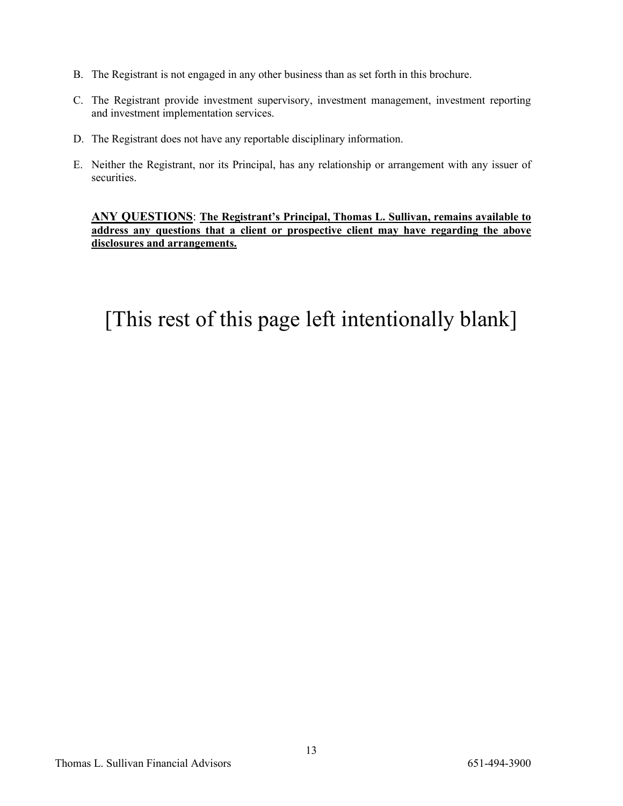- B. The Registrant is not engaged in any other business than as set forth in this brochure.
- C. The Registrant provide investment supervisory, investment management, investment reporting and investment implementation services.
- D. The Registrant does not have any reportable disciplinary information.
- E. Neither the Registrant, nor its Principal, has any relationship or arrangement with any issuer of securities.

**ANY QUESTIONS**: **The Registrant's Principal, Thomas L. Sullivan, remains available to address any questions that a client or prospective client may have regarding the above disclosures and arrangements.**

## [This rest of this page left intentionally blank]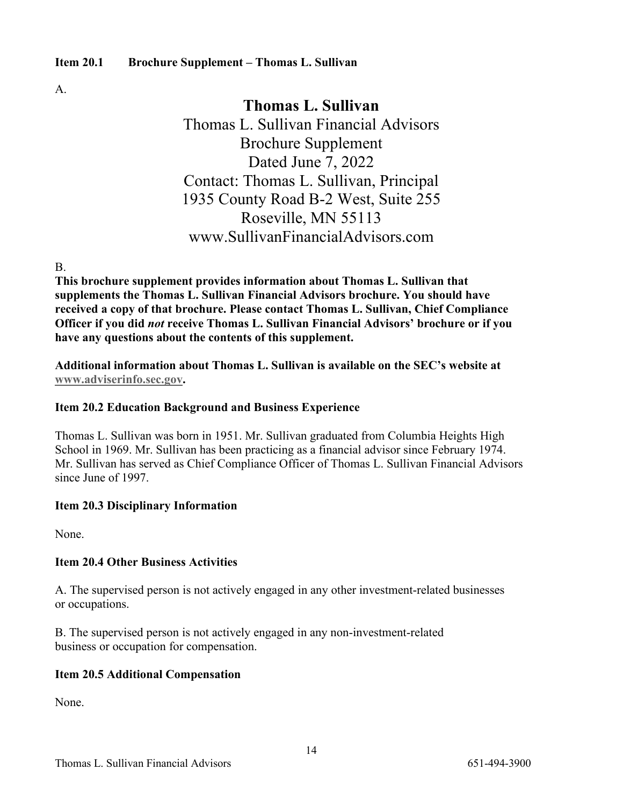### **Item 20.1 Brochure Supplement – Thomas L. Sullivan**

A.

### **Thomas L. Sullivan**

Thomas L. Sullivan Financial Advisors Brochure Supplement Dated June 7, 2022 Contact: Thomas L. Sullivan, Principal 1935 County Road B-2 West, Suite 255 Roseville, MN 55113 www.SullivanFinancialAdvisors.com

B.

**This brochure supplement provides information about Thomas L. Sullivan that supplements the Thomas L. Sullivan Financial Advisors brochure. You should have received a copy of that brochure. Please contact Thomas L. Sullivan, Chief Compliance Officer if you did** *not* **receive Thomas L. Sullivan Financial Advisors' brochure or if you have any questions about the contents of this supplement.**

**Additional information about Thomas L. Sullivan is available on the SEC's website at [www.adviserinfo.sec.gov.](http://www.adviserinfo.sec.gov/)** 

### **Item 20.2 Education Background and Business Experience**

Thomas L. Sullivan was born in 1951. Mr. Sullivan graduated from Columbia Heights High School in 1969. Mr. Sullivan has been practicing as a financial advisor since February 1974. Mr. Sullivan has served as Chief Compliance Officer of Thomas L. Sullivan Financial Advisors since June of 1997.

### **Item 20.3 Disciplinary Information**

None.

### **Item 20.4 Other Business Activities**

A. The supervised person is not actively engaged in any other investment-related businesses or occupations.

B. The supervised person is not actively engaged in any non-investment-related business or occupation for compensation.

### **Item 20.5 Additional Compensation**

None.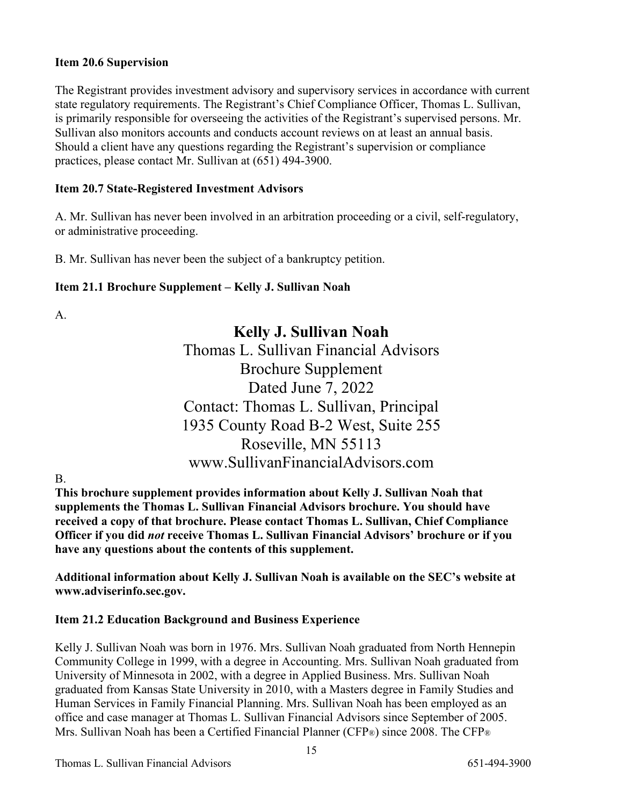### **Item 20.6 Supervision**

The Registrant provides investment advisory and supervisory services in accordance with current state regulatory requirements. The Registrant's Chief Compliance Officer, Thomas L. Sullivan, is primarily responsible for overseeing the activities of the Registrant's supervised persons. Mr. Sullivan also monitors accounts and conducts account reviews on at least an annual basis. Should a client have any questions regarding the Registrant's supervision or compliance practices, please contact Mr. Sullivan at (651) 494-3900.

### **Item 20.7 State-Registered Investment Advisors**

A. Mr. Sullivan has never been involved in an arbitration proceeding or a civil, self-regulatory, or administrative proceeding.

B. Mr. Sullivan has never been the subject of a bankruptcy petition.

### **Item 21.1 Brochure Supplement – Kelly J. Sullivan Noah**

A.

## **Kelly J. Sullivan Noah**

Thomas L. Sullivan Financial Advisors Brochure Supplement Dated June 7, 2022 Contact: Thomas L. Sullivan, Principal 1935 County Road B-2 West, Suite 255 Roseville, MN 55113 www.SullivanFinancialAdvisors.com

B.

**This brochure supplement provides information about Kelly J. Sullivan Noah that supplements the Thomas L. Sullivan Financial Advisors brochure. You should have received a copy of that brochure. Please contact Thomas L. Sullivan, Chief Compliance Officer if you did** *not* **receive Thomas L. Sullivan Financial Advisors' brochure or if you have any questions about the contents of this supplement.**

**Additional information about Kelly J. Sullivan Noah is available on the SEC's website at www.adviserinfo.sec.gov.**

### **Item 21.2 Education Background and Business Experience**

Kelly J. Sullivan Noah was born in 1976. Mrs. Sullivan Noah graduated from North Hennepin Community College in 1999, with a degree in Accounting. Mrs. Sullivan Noah graduated from University of Minnesota in 2002, with a degree in Applied Business. Mrs. Sullivan Noah graduated from Kansas State University in 2010, with a Masters degree in Family Studies and Human Services in Family Financial Planning. Mrs. Sullivan Noah has been employed as an office and case manager at Thomas L. Sullivan Financial Advisors since September of 2005. Mrs. Sullivan Noah has been a Certified Financial Planner (CFP®) since 2008. The CFP®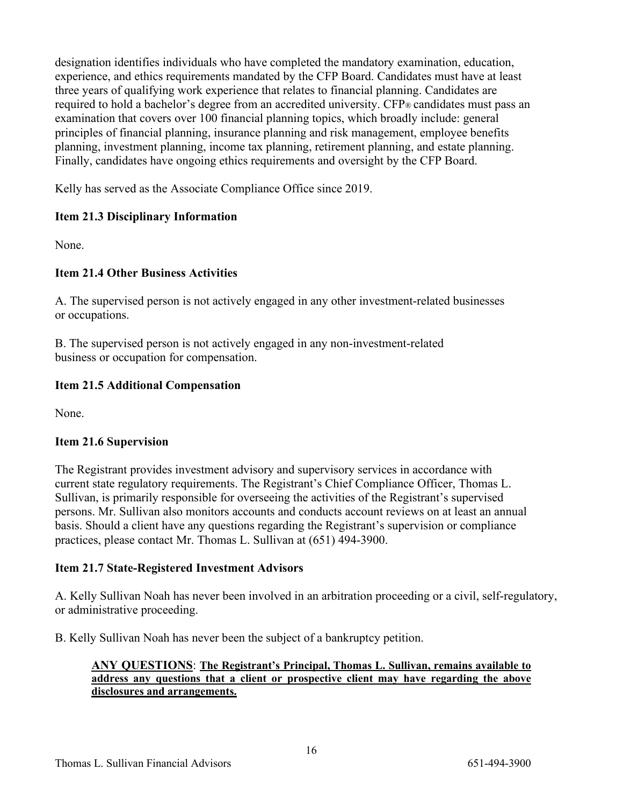designation identifies individuals who have completed the mandatory examination, education, experience, and ethics requirements mandated by the CFP Board. Candidates must have at least three years of qualifying work experience that relates to financial planning. Candidates are required to hold a bachelor's degree from an accredited university. CFP® candidates must pass an examination that covers over 100 financial planning topics, which broadly include: general principles of financial planning, insurance planning and risk management, employee benefits planning, investment planning, income tax planning, retirement planning, and estate planning. Finally, candidates have ongoing ethics requirements and oversight by the CFP Board.

Kelly has served as the Associate Compliance Office since 2019.

### **Item 21.3 Disciplinary Information**

None.

### **Item 21.4 Other Business Activities**

A. The supervised person is not actively engaged in any other investment-related businesses or occupations.

B. The supervised person is not actively engaged in any non-investment-related business or occupation for compensation.

### **Item 21.5 Additional Compensation**

None.

### **Item 21.6 Supervision**

The Registrant provides investment advisory and supervisory services in accordance with current state regulatory requirements. The Registrant's Chief Compliance Officer, Thomas L. Sullivan, is primarily responsible for overseeing the activities of the Registrant's supervised persons. Mr. Sullivan also monitors accounts and conducts account reviews on at least an annual basis. Should a client have any questions regarding the Registrant's supervision or compliance practices, please contact Mr. Thomas L. Sullivan at (651) 494-3900.

### **Item 21.7 State-Registered Investment Advisors**

A. Kelly Sullivan Noah has never been involved in an arbitration proceeding or a civil, self-regulatory, or administrative proceeding.

B. Kelly Sullivan Noah has never been the subject of a bankruptcy petition.

### **ANY QUESTIONS**: **The Registrant's Principal, Thomas L. Sullivan, remains available to address any questions that a client or prospective client may have regarding the above disclosures and arrangements.**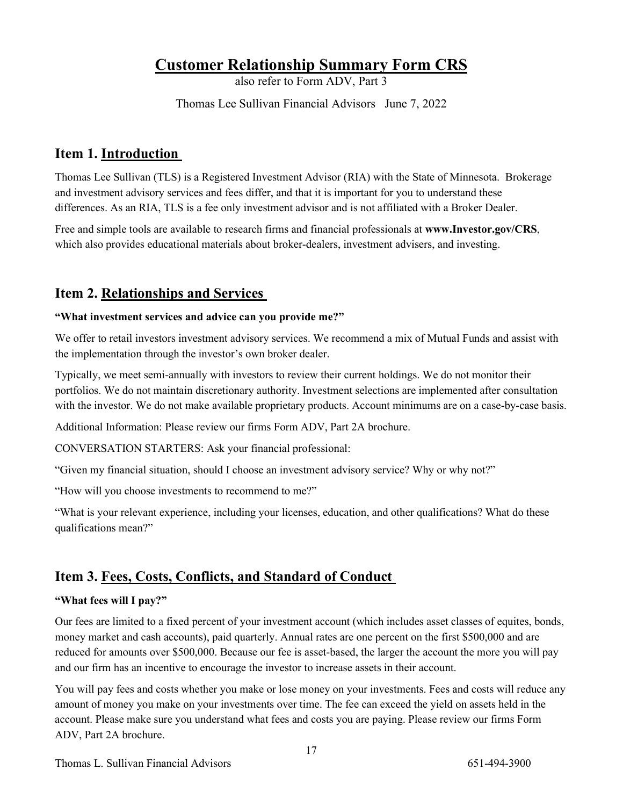## **Customer Relationship Summary Form CRS**

also refer to Form ADV, Part 3

Thomas Lee Sullivan Financial Advisors June 7, 2022

## **Item 1. Introduction**

Thomas Lee Sullivan (TLS) is a Registered Investment Advisor (RIA) with the State of Minnesota. Brokerage and investment advisory services and fees differ, and that it is important for you to understand these differences. As an RIA, TLS is a fee only investment advisor and is not affiliated with a Broker Dealer.

Free and simple tools are available to research firms and financial professionals at **www.Investor.gov/CRS**, which also provides educational materials about broker-dealers, investment advisers, and investing.

## **Item 2. Relationships and Services**

### **"What investment services and advice can you provide me?"**

We offer to retail investors investment advisory services. We recommend a mix of Mutual Funds and assist with the implementation through the investor's own broker dealer.

Typically, we meet semi-annually with investors to review their current holdings. We do not monitor their portfolios. We do not maintain discretionary authority. Investment selections are implemented after consultation with the investor. We do not make available proprietary products. Account minimums are on a case-by-case basis.

Additional Information: Please review our firms Form ADV, Part 2A brochure.

CONVERSATION STARTERS: Ask your financial professional:

"Given my financial situation, should I choose an investment advisory service? Why or why not?"

"How will you choose investments to recommend to me?"

"What is your relevant experience, including your licenses, education, and other qualifications? What do these qualifications mean?"

### **Item 3. Fees, Costs, Conflicts, and Standard of Conduct**

### **"What fees will I pay?"**

Our fees are limited to a fixed percent of your investment account (which includes asset classes of equites, bonds, money market and cash accounts), paid quarterly. Annual rates are one percent on the first \$500,000 and are reduced for amounts over \$500,000. Because our fee is asset-based, the larger the account the more you will pay and our firm has an incentive to encourage the investor to increase assets in their account.

You will pay fees and costs whether you make or lose money on your investments. Fees and costs will reduce any amount of money you make on your investments over time. The fee can exceed the yield on assets held in the account. Please make sure you understand what fees and costs you are paying. Please review our firms Form ADV, Part 2A brochure.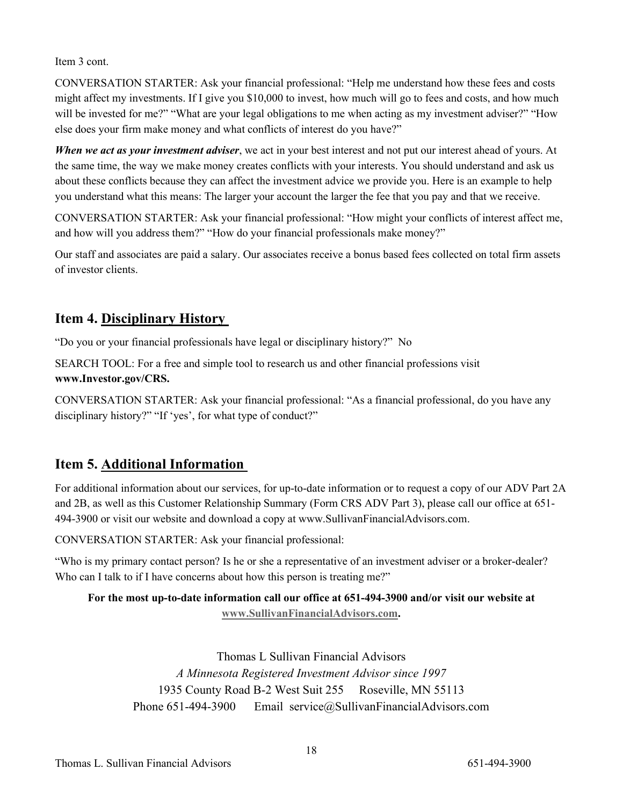Item 3 cont.

CONVERSATION STARTER: Ask your financial professional: "Help me understand how these fees and costs might affect my investments. If I give you \$10,000 to invest, how much will go to fees and costs, and how much will be invested for me?" "What are your legal obligations to me when acting as my investment adviser?" "How else does your firm make money and what conflicts of interest do you have?"

*When we act as your investment adviser*, we act in your best interest and not put our interest ahead of yours. At the same time, the way we make money creates conflicts with your interests. You should understand and ask us about these conflicts because they can affect the investment advice we provide you. Here is an example to help you understand what this means: The larger your account the larger the fee that you pay and that we receive.

CONVERSATION STARTER: Ask your financial professional: "How might your conflicts of interest affect me, and how will you address them?" "How do your financial professionals make money?"

Our staff and associates are paid a salary. Our associates receive a bonus based fees collected on total firm assets of investor clients.

## **Item 4. Disciplinary History**

"Do you or your financial professionals have legal or disciplinary history?" No

SEARCH TOOL: For a free and simple tool to research us and other financial professions visit **www.Investor.gov/CRS.** 

CONVERSATION STARTER: Ask your financial professional: "As a financial professional, do you have any disciplinary history?" "If 'yes', for what type of conduct?"

## **Item 5. Additional Information**

For additional information about our services, for up-to-date information or to request a copy of our ADV Part 2A and 2B, as well as this Customer Relationship Summary (Form CRS ADV Part 3), please call our office at 651- 494-3900 or visit our website and download a copy at www.SullivanFinancialAdvisors.com.

CONVERSATION STARTER: Ask your financial professional:

"Who is my primary contact person? Is he or she a representative of an investment adviser or a broker-dealer? Who can I talk to if I have concerns about how this person is treating me?"

### **For the most up-to-date information call our office at 651-494-3900 and/or visit our website at [www.SullivanFinancialAdvisors.com.](http://www.sullivanfinancialadvisors.com/)**

Thomas L Sullivan Financial Advisors *A Minnesota Registered Investment Advisor since 1997* 1935 County Road B-2 West Suit 255 Roseville, MN 55113 Phone 651-494-3900 Email service@SullivanFinancialAdvisors.com